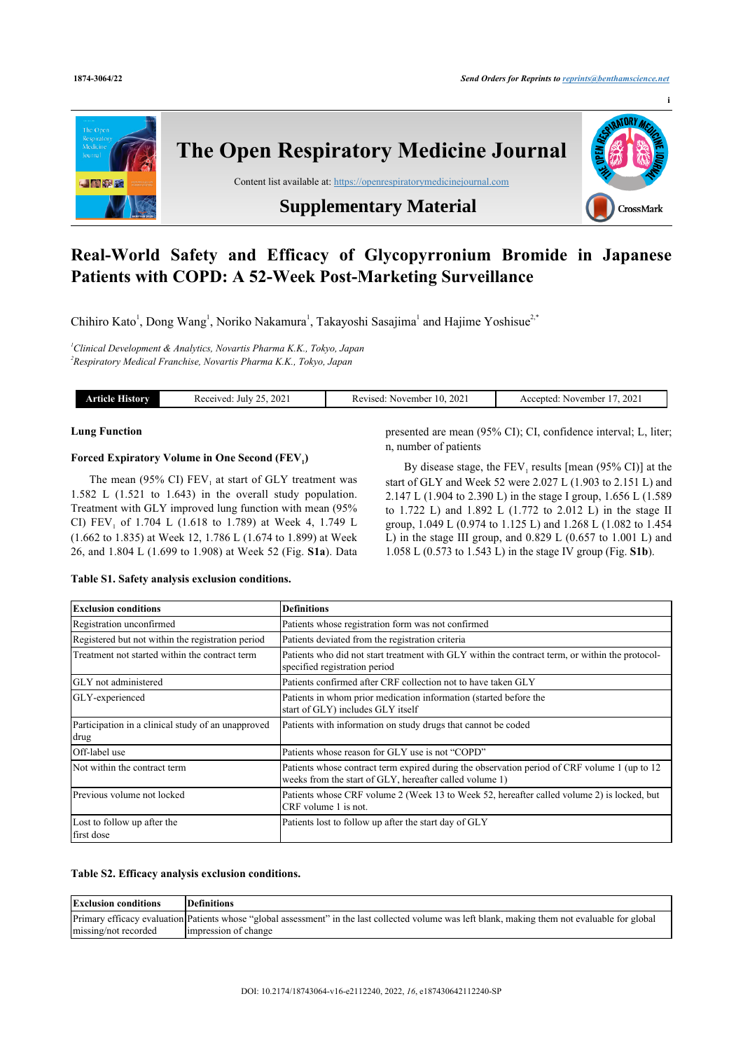

# **Real-World Safety and Efficacy of Glycopyrronium Bromide in Japanese Patients with COPD: A 52-Week Post-Marketing Surveillance**

Chihiro Kato<sup>[1](#page-0-0)</sup>, Dong Wang<sup>1</sup>, Noriko Nakamura<sup>1</sup>, Takayoshi Sasajima<sup>1</sup> and Hajime Yoshisue<sup>[2,\\*](#page--1-0)</sup>

<span id="page-0-0"></span>*<sup>1</sup>Clinical Development & Analytics, Novartis Pharma K.K., Tokyo, Japan 2 Respiratory Medical Franchise, Novartis Pharma K.K., Tokyo, Japan*

| listory<br>поід | $202^{\circ}$<br>Received.<br>July<br>. | -202<br>November –<br>Revised:<br>ш | 202<br>\ccented:<br>November<br>AC.<br>$-1$ |
|-----------------|-----------------------------------------|-------------------------------------|---------------------------------------------|
|                 |                                         |                                     |                                             |

#### **Lung Function**

## **Forced Expiratory Volume in One Second (FEV<sup>1</sup> )**

The mean (95% CI)  $FEV_1$  at start of GLY treatment was 1.582 L (1.521 to 1.643) in the overall study population. Treatment with GLY improved lung function with mean (95% CI)  $FEV_1$  of 1.704 L (1.618 to 1.789) at Week 4, 1.749 L (1.662 to 1.835) at Week 12, 1.786 L (1.674 to 1.899) at Week 26, and 1.804 L (1.699 to 1.908) at Week 52 (Fig. **[S1a](#page-1-0)**). Data presented are mean (95% CI); CI, confidence interval; L, liter; n, number of patients

By disease stage, the  $FEV_1$  results [mean (95% CI)] at the start of GLY and Week 52 were 2.027 L (1.903 to 2.151 L) and 2.147 L (1.904 to 2.390 L) in the stage I group, 1.656 L (1.589 to 1.722 L) and 1.892 L (1.772 to 2.012 L) in the stage II group, 1.049 L (0.974 to 1.125 L) and 1.268 L (1.082 to 1.454 L) in the stage III group, and 0.829 L (0.657 to 1.001 L) and 1.058 L (0.573 to 1.543 L) in the stage IV group (Fig. **[S1b](#page-1-0)**).

## **Table S1. Safety analysis exclusion conditions.**

| <b>Exclusion conditions</b>                                | <b>Definitions</b>                                                                                                                                       |
|------------------------------------------------------------|----------------------------------------------------------------------------------------------------------------------------------------------------------|
| Registration unconfirmed                                   | Patients whose registration form was not confirmed                                                                                                       |
| Registered but not within the registration period          | Patients deviated from the registration criteria                                                                                                         |
| Treatment not started within the contract term             | Patients who did not start treatment with GLY within the contract term, or within the protocol-<br>specified registration period                         |
| <b>IGLY</b> not administered                               | Patients confirmed after CRF collection not to have taken GLY                                                                                            |
| GLY-experienced                                            | Patients in whom prior medication information (started before the<br>start of GLY) includes GLY itself                                                   |
| Participation in a clinical study of an unapproved<br>drug | Patients with information on study drugs that cannot be coded                                                                                            |
| Off-label use                                              | Patients whose reason for GLY use is not "COPD"                                                                                                          |
| Not within the contract term                               | Patients whose contract term expired during the observation period of CRF volume 1 (up to 12)<br>weeks from the start of GLY, hereafter called volume 1) |
| Previous volume not locked                                 | Patients whose CRF volume 2 (Week 13 to Week 52, hereafter called volume 2) is locked, but<br>CRF volume 1 is not.                                       |
| Lost to follow up after the<br>first dose                  | Patients lost to follow up after the start day of GLY                                                                                                    |

#### **Table S2. Efficacy analysis exclusion conditions.**

| <b>Exclusion conditions</b> | Definitions                                                                                                                                      |
|-----------------------------|--------------------------------------------------------------------------------------------------------------------------------------------------|
|                             | Primary efficacy evaluation Patients whose "global assessment" in the last collected volume was left blank, making them not evaluable for global |
| missing/not recorded        | impression of change                                                                                                                             |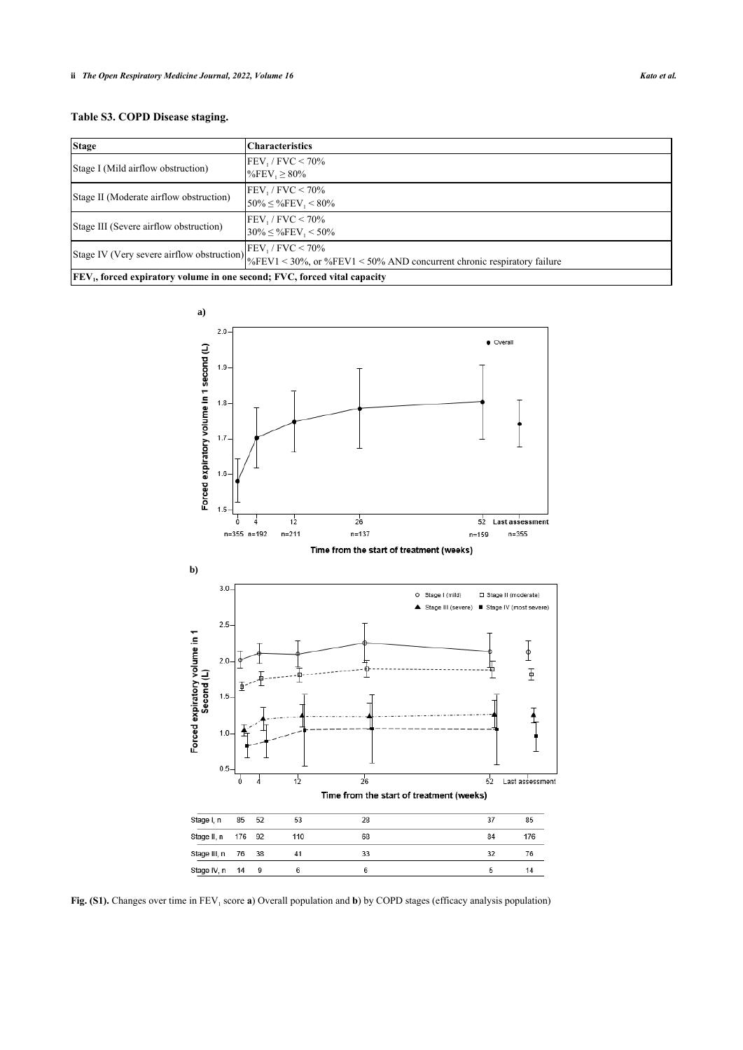| <b>Stage</b>                                                                                | <b>Characteristics</b>                                                                                                                                                                     |  |  |  |
|---------------------------------------------------------------------------------------------|--------------------------------------------------------------------------------------------------------------------------------------------------------------------------------------------|--|--|--|
| Stage I (Mild airflow obstruction)                                                          | $FEV_1 / FVC < 70\%$<br>$%FEV_1 ≥ 80%$                                                                                                                                                     |  |  |  |
| Stage II (Moderate airflow obstruction)                                                     | $FEV_1 / FVC < 70\%$<br>$50\% \leq \%$ FEV <sub>1</sub> < 80%                                                                                                                              |  |  |  |
| Stage III (Severe airflow obstruction)                                                      | $FEV_1 / FVC < 70\%$<br>$30\% \leq \%$ FEV <sub>1</sub> < 50%                                                                                                                              |  |  |  |
|                                                                                             | Stage IV (Very severe airflow obstruction) $\begin{bmatrix} FEV_1/ FVC < 70\% \\ \%FEV1 < 30\% \text{ or } \%FEV1 < 50\% \text{ AND concurrent chronic respiratory failure} \end{bmatrix}$ |  |  |  |
| <b>FEV<sub>1</sub></b> , forced expiratory volume in one second; FVC, forced vital capacity |                                                                                                                                                                                            |  |  |  |

<span id="page-1-0"></span>

Fig. (S1). Changes over time in FEV<sub>1</sub> score a) Overall population and **b**) by COPD stages (efficacy analysis population)